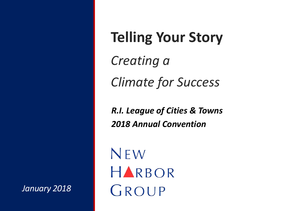#### **Telling Your Story**

*Creating a Climate for Success*

*R.I. League of Cities & Towns 2018 Annual Convention*

NEW HARBOR GROUP

*January 2018*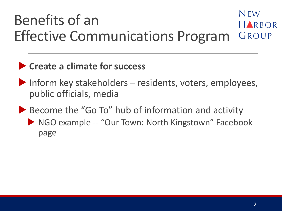#### $NFW$ Benefits of an HARBOR Effective Communications Program GROUP

#### **Create a climate for success**

- Inform key stakeholders  $-$  residents, voters, employees, public officials, media
- Become the "Go To" hub of information and activity
	- ▶ NGO example -- "Our Town: North Kingstown" Facebook page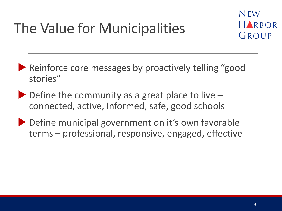# The Value for Municipalities



**Reinforce core messages by proactively telling "good** stories"

- $\triangleright$  Define the community as a great place to live  $\rightarrow$ connected, active, informed, safe, good schools
- ▶ Define municipal government on it's own favorable terms – professional, responsive, engaged, effective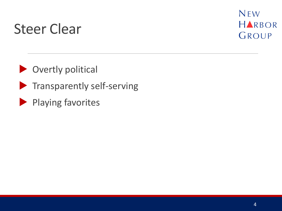#### Steer Clear



**Overtly political** 

- $\blacktriangleright$  Transparently self-serving
- Playing favorites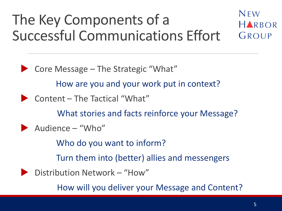#### NEW The Key Components of a HARBOR Successful Communications Effort GROUP

▶ Core Message – The Strategic "What"

How are you and your work put in context?

Content – The Tactical "What"

What stories and facts reinforce your Message?

Audience – "Who"

Who do you want to inform?

Turn them into (better) allies and messengers

Distribution Network – "How"

How will you deliver your Message and Content?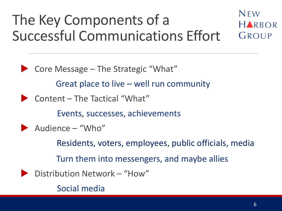#### NEW The Key Components of a HARBOR Successful Communications Effort GROUP

 $\triangleright$  Core Message – The Strategic "What" Great place to live – well run community Content – The Tactical "What" Events, successes, achievements Audience – "Who" Residents, voters, employees, public officials, media Turn them into messengers, and maybe allies Distribution Network – "How" Social media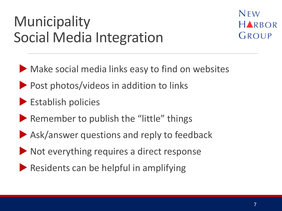# Municipality Social Media Integration



Make social media links easy to find on websites

- Post photos/videos in addition to links
- **Establish policies**
- Remember to publish the "little" things
- Ask/answer questions and reply to feedback
- Not everything requires a direct response
- Residents can be helpful in amplifying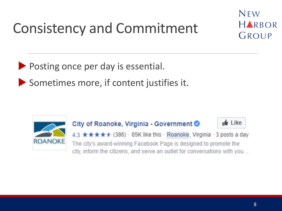# Consistency and Commitment



Posting once per day is essential.

Sometimes more, if content justifies it.



#### City of Roanoke, Virginia - Government



4.3 ★★★★↓ (386) · 85K like this · Roanoke, Virginia · 3 posts a day The city's award-winning Facebook Page is designed to promote the city, inform the citizens, and serve an outlet for conversations with you...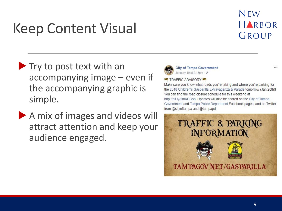## Keep Content Visual

#### NEW HARBOR GROUP

- $\blacktriangleright$  Try to post text with an accompanying image – even if the accompanying graphic is simple.
- A mix of images and videos will attract attention and keep your audience engaged.



**City of Tampa Government** January 19 at 2:15pm · @

#### **ZA TRAFFIC ADVISORY ZA**

Make sure you know what roads you're taking and where you're parking for the 2018 Children's Gasparilla Extravaganza & Parade tomorrow (Jan 20th)! You can find the road closure schedule for this weekend at http://bit.ly/2mKCGsp. Updates will also be shared on the City of Tampa Government and Tampa Police Department Facebook pages, and on Twitter from @cityoftampa and @tampapd.

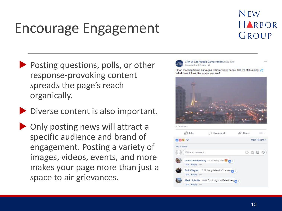# Encourage Engagement

NEW HARBOR GROUP

 $1.1$ 

- Posting questions, polls, or other response-provoking content spreads the page's reach organically.
- Diverse content is also important.
- **Only posting news will attract a** specific audience and brand of engagement. Posting a variety of images, videos, events, and more makes your page more than just a space to air grievances.



Good morning from Las Vegas, where we're happy that it's still raining! What does it look like where you are?

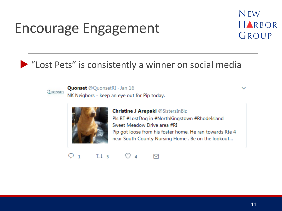# Encourage Engagement



#### "Lost Pets" is consistently a winner on social media



**Quonset** @QuonsetRI · Jan 16

NK Neigbors - keep an eye out for Pip today.



**Christine J Arepaki @SistersInBiz** Pls RT #LostDog in #NorthKingstown #RhodeIsland Sweet Meadow Drive area #RI Pip got loose from his foster home. He ran towards Rte 4 near South County Nursing Home . Be on the lookout...

#### $Q_1$   $Q_5$  $\circ$   $\sim$ 罓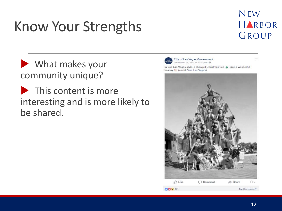# Know Your Strengths

#### NEW HARBOR GROUP

 $1000$ 

 What makes your community unique?

**This content is more** interesting and is more likely to be shared.

City of Las Vegas Government December 25, 2017 at 12:27pm - @



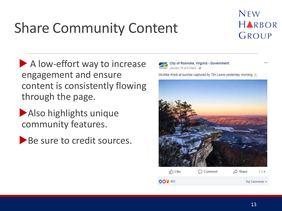# Share Community Content



 $\sim$ 

A low-effort way to increase engagement and ensure content is consistently flowing through the page.

Also highlights unique community features.

Be sure to credit sources.



City of Roanoke, Virginia - Government January 19 at 8:54am  $\cdot$   $\odot$ 

McAfee Knob at sunrise captured by Tim Lewis yesterday morning

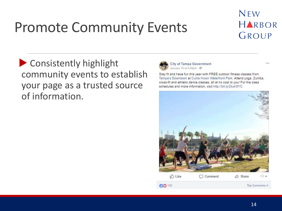## Promote Community Events

#### NFW HARBOR GROUP

 Consistently highlight community events to establish your page as a trusted source of information.



City of Tampa Government January 10 at 4:00pm - @

Stay fit and have fun this year with FREE outdoor fitness classes from Tampa's Downtown at Curtis Hixon Waterfront Park. Attend yoga, Zumba, cross-fit and athletic dance classes, all at no cost to you! For the class schedules and more information, visit http://bit.ly/2kuK8YC

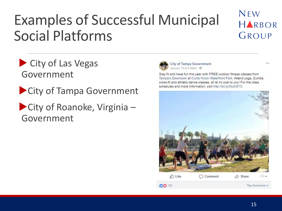## Examples of Successful Municipal Social Platforms

#### NFW HARBOR GROUP

City of Las Vegas Government

**City of Tampa Government** 

City of Roanoke, Virginia -Government



City of Tampa Government January 10 at 4:00pm - @

Stay fit and have fun this year with FREE outdoor fitness classes from Tampa's Downtown at Curtis Hixon Waterfront Park. Attend yoga, Zumba, cross-fit and athletic dance classes, all at no cost to you! For the class schedules and more information, visit http://bit.ly/2kuK8YC